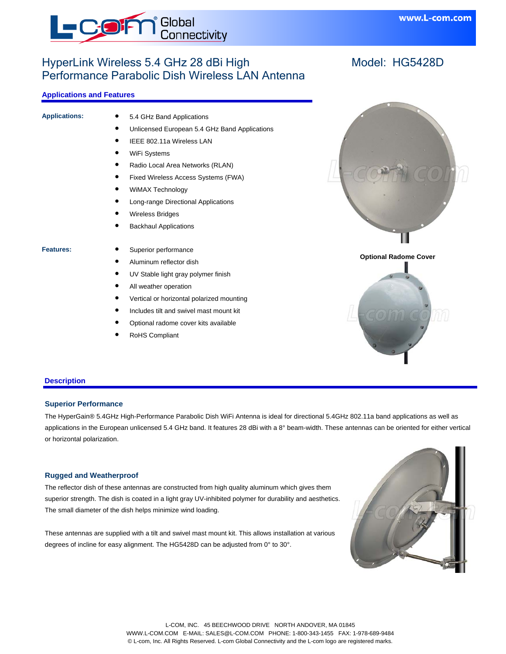

# HyperLink Wireless 5.4 GHz 28 dBi High Performance Parabolic Dish Wireless LAN Antenna

# **Applications and Features**

| <b>Applications:</b> | 5.4 GHz Band Applications                     |                      |
|----------------------|-----------------------------------------------|----------------------|
|                      | Unlicensed European 5.4 GHz Band Applications |                      |
|                      | IEEE 802.11a Wireless LAN                     |                      |
|                      | WiFi Systems                                  |                      |
|                      | Radio Local Area Networks (RLAN)              |                      |
|                      | Fixed Wireless Access Systems (FWA)           |                      |
|                      | <b>WiMAX Technology</b>                       |                      |
|                      | Long-range Directional Applications           |                      |
|                      | Wireless Bridges                              |                      |
|                      | <b>Backhaul Applications</b>                  |                      |
|                      |                                               |                      |
| Features:            | Superior performance                          |                      |
|                      | Aluminum reflector dish                       | <b>Optional Rado</b> |
|                      | UV Stable light gray polymer finish           |                      |
|                      | All weather operation                         |                      |
|                      | Vertical or horizontal polarized mounting     |                      |
|                      | Includes tilt and swivel mast mount kit       |                      |
|                      | Optional radome cover kits available          |                      |

RoHS Compliant



www.L-com.com



#### **Description**

## **Superior Performance**

The HyperGain® 5.4GHz High-Performance Parabolic Dish WiFi Antenna is ideal for directional 5.4GHz 802.11a band applications as well as applications in the European unlicensed 5.4 GHz band. It features 28 dBi with a 8° beam-width. These antennas can be oriented for either vertical or horizontal polarization.

#### **Rugged and Weatherproof**

The reflector dish of these antennas are constructed from high quality aluminum which gives them superior strength. The dish is coated in a light gray UV-inhibited polymer for durability and aesthetics. The small diameter of the dish helps minimize wind loading.

These antennas are supplied with a tilt and swivel mast mount kit. This allows installation at various degrees of incline for easy alignment. The HG5428D can be adjusted from 0° to 30°.